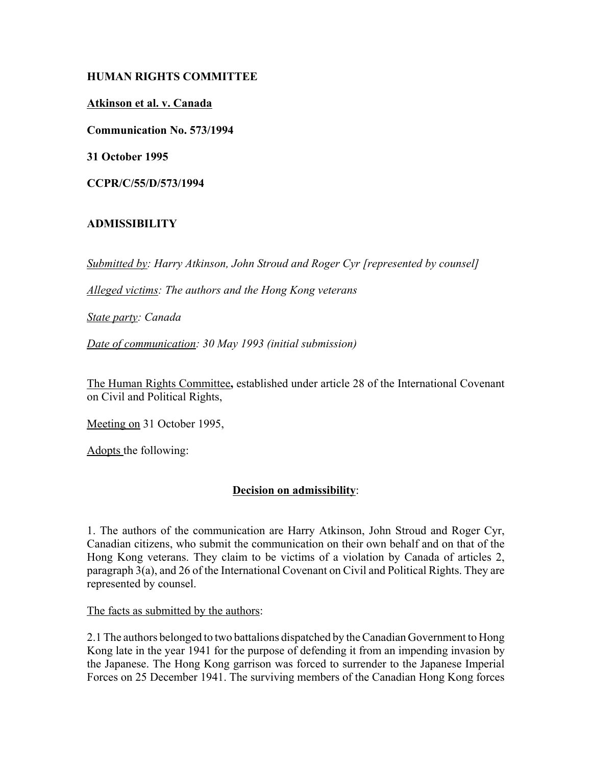# **HUMAN RIGHTS COMMITTEE**

#### **Atkinson et al. v. Canada**

**Communication No. 573/1994**

**31 October 1995**

**CCPR/C/55/D/573/1994**

# **ADMISSIBILITY**

*Submitted by: Harry Atkinson, John Stroud and Roger Cyr [represented by counsel]*

*Alleged victims: The authors and the Hong Kong veterans*

*State party: Canada*

*Date of communication: 30 May 1993 (initial submission)*

The Human Rights Committee**,** established under article 28 of the International Covenant on Civil and Political Rights,

Meeting on 31 October 1995,

Adopts the following:

# **Decision on admissibility**:

1. The authors of the communication are Harry Atkinson, John Stroud and Roger Cyr, Canadian citizens, who submit the communication on their own behalf and on that of the Hong Kong veterans. They claim to be victims of a violation by Canada of articles 2, paragraph 3(a), and 26 of the International Covenant on Civil and Political Rights. They are represented by counsel.

The facts as submitted by the authors:

2.1 The authors belonged to two battalions dispatched by the Canadian Government to Hong Kong late in the year 1941 for the purpose of defending it from an impending invasion by the Japanese. The Hong Kong garrison was forced to surrender to the Japanese Imperial Forces on 25 December 1941. The surviving members of the Canadian Hong Kong forces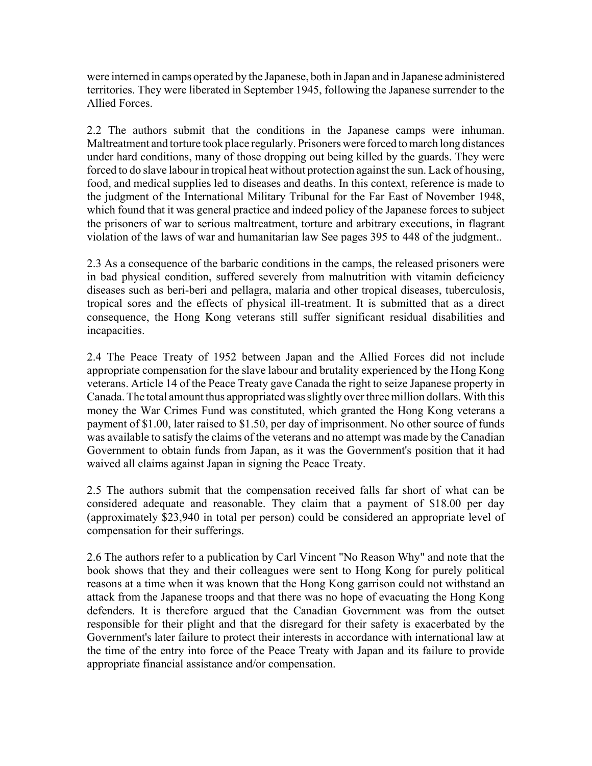were interned in camps operated by the Japanese, both in Japan and in Japanese administered territories. They were liberated in September 1945, following the Japanese surrender to the Allied Forces.

2.2 The authors submit that the conditions in the Japanese camps were inhuman. Maltreatment and torture took place regularly. Prisoners were forced to march long distances under hard conditions, many of those dropping out being killed by the guards. They were forced to do slave labour in tropical heat without protection against the sun. Lack of housing, food, and medical supplies led to diseases and deaths. In this context, reference is made to the judgment of the International Military Tribunal for the Far East of November 1948, which found that it was general practice and indeed policy of the Japanese forces to subject the prisoners of war to serious maltreatment, torture and arbitrary executions, in flagrant violation of the laws of war and humanitarian law See pages 395 to 448 of the judgment..

2.3 As a consequence of the barbaric conditions in the camps, the released prisoners were in bad physical condition, suffered severely from malnutrition with vitamin deficiency diseases such as beri-beri and pellagra, malaria and other tropical diseases, tuberculosis, tropical sores and the effects of physical ill-treatment. It is submitted that as a direct consequence, the Hong Kong veterans still suffer significant residual disabilities and incapacities.

2.4 The Peace Treaty of 1952 between Japan and the Allied Forces did not include appropriate compensation for the slave labour and brutality experienced by the Hong Kong veterans. Article 14 of the Peace Treaty gave Canada the right to seize Japanese property in Canada. The total amount thus appropriated was slightly over three million dollars. With this money the War Crimes Fund was constituted, which granted the Hong Kong veterans a payment of \$1.00, later raised to \$1.50, per day of imprisonment. No other source of funds was available to satisfy the claims of the veterans and no attempt was made by the Canadian Government to obtain funds from Japan, as it was the Government's position that it had waived all claims against Japan in signing the Peace Treaty.

2.5 The authors submit that the compensation received falls far short of what can be considered adequate and reasonable. They claim that a payment of \$18.00 per day (approximately \$23,940 in total per person) could be considered an appropriate level of compensation for their sufferings.

2.6 The authors refer to a publication by Carl Vincent "No Reason Why" and note that the book shows that they and their colleagues were sent to Hong Kong for purely political reasons at a time when it was known that the Hong Kong garrison could not withstand an attack from the Japanese troops and that there was no hope of evacuating the Hong Kong defenders. It is therefore argued that the Canadian Government was from the outset responsible for their plight and that the disregard for their safety is exacerbated by the Government's later failure to protect their interests in accordance with international law at the time of the entry into force of the Peace Treaty with Japan and its failure to provide appropriate financial assistance and/or compensation.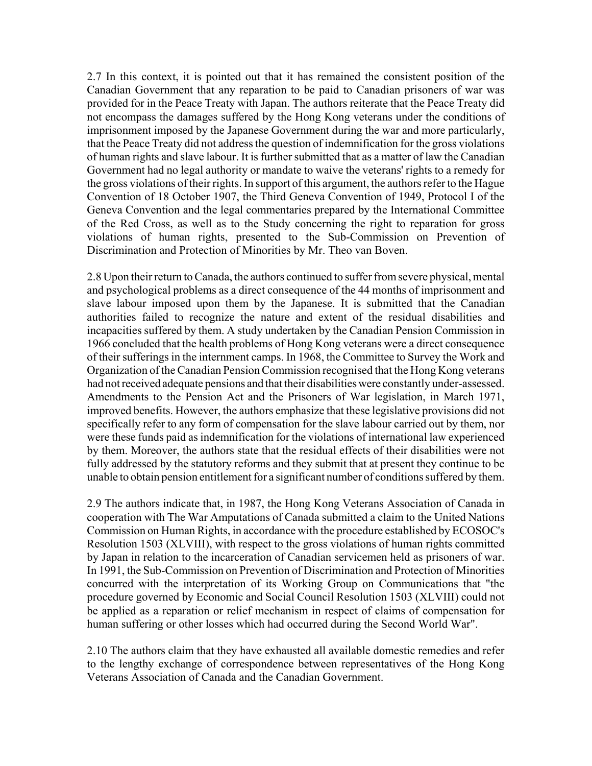2.7 In this context, it is pointed out that it has remained the consistent position of the Canadian Government that any reparation to be paid to Canadian prisoners of war was provided for in the Peace Treaty with Japan. The authors reiterate that the Peace Treaty did not encompass the damages suffered by the Hong Kong veterans under the conditions of imprisonment imposed by the Japanese Government during the war and more particularly, that the Peace Treaty did not address the question of indemnification for the gross violations of human rights and slave labour. It is further submitted that as a matter of law the Canadian Government had no legal authority or mandate to waive the veterans' rights to a remedy for the gross violations of their rights. In support of this argument, the authors refer to the Hague Convention of 18 October 1907, the Third Geneva Convention of 1949, Protocol I of the Geneva Convention and the legal commentaries prepared by the International Committee of the Red Cross, as well as to the Study concerning the right to reparation for gross violations of human rights, presented to the Sub-Commission on Prevention of Discrimination and Protection of Minorities by Mr. Theo van Boven.

2.8 Upon their return to Canada, the authors continued to suffer from severe physical, mental and psychological problems as a direct consequence of the 44 months of imprisonment and slave labour imposed upon them by the Japanese. It is submitted that the Canadian authorities failed to recognize the nature and extent of the residual disabilities and incapacities suffered by them. A study undertaken by the Canadian Pension Commission in 1966 concluded that the health problems of Hong Kong veterans were a direct consequence of their sufferings in the internment camps. In 1968, the Committee to Survey the Work and Organization of the Canadian Pension Commission recognised that the Hong Kong veterans had not received adequate pensions and that their disabilities were constantly under-assessed. Amendments to the Pension Act and the Prisoners of War legislation, in March 1971, improved benefits. However, the authors emphasize that these legislative provisions did not specifically refer to any form of compensation for the slave labour carried out by them, nor were these funds paid as indemnification for the violations of international law experienced by them. Moreover, the authors state that the residual effects of their disabilities were not fully addressed by the statutory reforms and they submit that at present they continue to be unable to obtain pension entitlement for a significant number of conditions suffered by them.

2.9 The authors indicate that, in 1987, the Hong Kong Veterans Association of Canada in cooperation with The War Amputations of Canada submitted a claim to the United Nations Commission on Human Rights, in accordance with the procedure established by ECOSOC's Resolution 1503 (XLVIII), with respect to the gross violations of human rights committed by Japan in relation to the incarceration of Canadian servicemen held as prisoners of war. In 1991, the Sub-Commission on Prevention of Discrimination and Protection of Minorities concurred with the interpretation of its Working Group on Communications that "the procedure governed by Economic and Social Council Resolution 1503 (XLVIII) could not be applied as a reparation or relief mechanism in respect of claims of compensation for human suffering or other losses which had occurred during the Second World War".

2.10 The authors claim that they have exhausted all available domestic remedies and refer to the lengthy exchange of correspondence between representatives of the Hong Kong Veterans Association of Canada and the Canadian Government.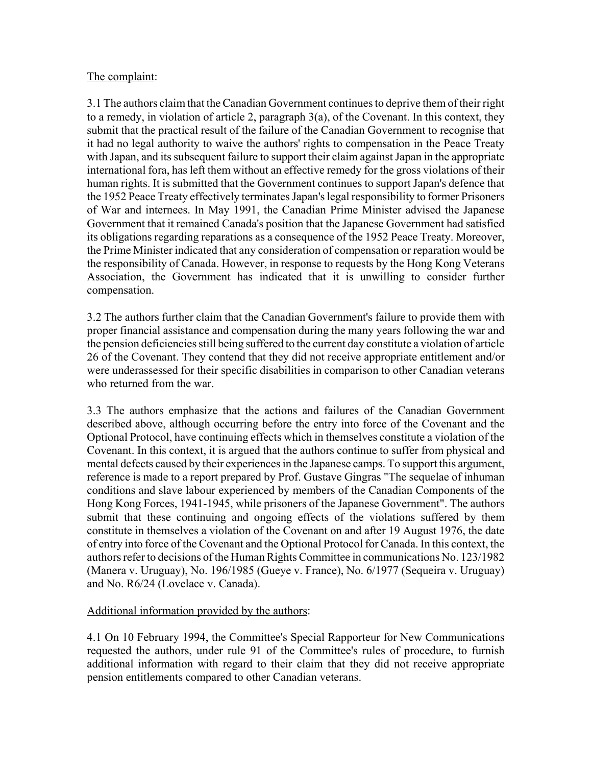# The complaint:

3.1 The authors claim that the Canadian Government continues to deprive them of their right to a remedy, in violation of article 2, paragraph 3(a), of the Covenant. In this context, they submit that the practical result of the failure of the Canadian Government to recognise that it had no legal authority to waive the authors' rights to compensation in the Peace Treaty with Japan, and its subsequent failure to support their claim against Japan in the appropriate international fora, has left them without an effective remedy for the gross violations of their human rights. It is submitted that the Government continues to support Japan's defence that the 1952 Peace Treaty effectively terminates Japan's legal responsibility to former Prisoners of War and internees. In May 1991, the Canadian Prime Minister advised the Japanese Government that it remained Canada's position that the Japanese Government had satisfied its obligations regarding reparations as a consequence of the 1952 Peace Treaty. Moreover, the Prime Minister indicated that any consideration of compensation or reparation would be the responsibility of Canada. However, in response to requests by the Hong Kong Veterans Association, the Government has indicated that it is unwilling to consider further compensation.

3.2 The authors further claim that the Canadian Government's failure to provide them with proper financial assistance and compensation during the many years following the war and the pension deficiencies still being suffered to the current day constitute a violation of article 26 of the Covenant. They contend that they did not receive appropriate entitlement and/or were underassessed for their specific disabilities in comparison to other Canadian veterans who returned from the war.

3.3 The authors emphasize that the actions and failures of the Canadian Government described above, although occurring before the entry into force of the Covenant and the Optional Protocol, have continuing effects which in themselves constitute a violation of the Covenant. In this context, it is argued that the authors continue to suffer from physical and mental defects caused by their experiences in the Japanese camps. To support this argument, reference is made to a report prepared by Prof. Gustave Gingras "The sequelae of inhuman conditions and slave labour experienced by members of the Canadian Components of the Hong Kong Forces, 1941-1945, while prisoners of the Japanese Government". The authors submit that these continuing and ongoing effects of the violations suffered by them constitute in themselves a violation of the Covenant on and after 19 August 1976, the date of entry into force of the Covenant and the Optional Protocol for Canada. In this context, the authors refer to decisions of the Human Rights Committee in communications No. 123/1982 (Manera v. Uruguay), No. 196/1985 (Gueye v. France), No. 6/1977 (Sequeira v. Uruguay) and No. R6/24 (Lovelace v. Canada).

# Additional information provided by the authors:

4.1 On 10 February 1994, the Committee's Special Rapporteur for New Communications requested the authors, under rule 91 of the Committee's rules of procedure, to furnish additional information with regard to their claim that they did not receive appropriate pension entitlements compared to other Canadian veterans.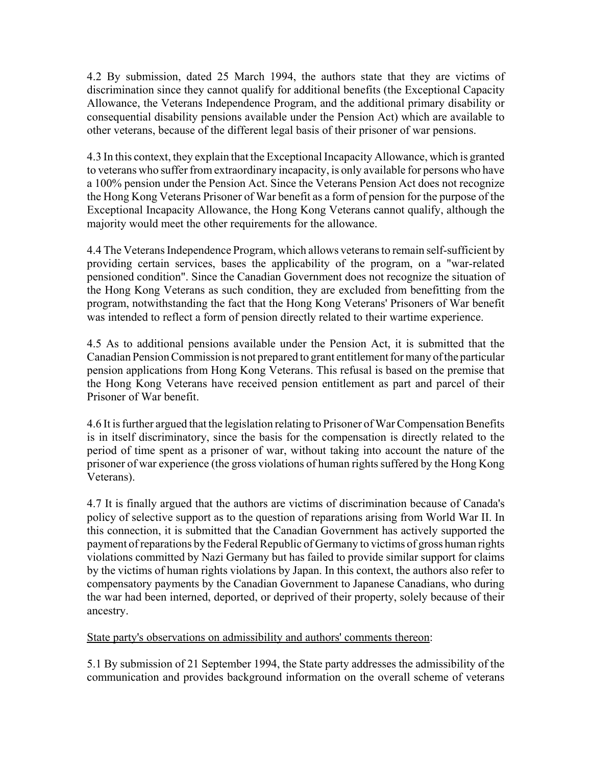4.2 By submission, dated 25 March 1994, the authors state that they are victims of discrimination since they cannot qualify for additional benefits (the Exceptional Capacity Allowance, the Veterans Independence Program, and the additional primary disability or consequential disability pensions available under the Pension Act) which are available to other veterans, because of the different legal basis of their prisoner of war pensions.

4.3 In this context, they explain that the Exceptional Incapacity Allowance, which is granted to veterans who suffer from extraordinary incapacity, is only available for persons who have a 100% pension under the Pension Act. Since the Veterans Pension Act does not recognize the Hong Kong Veterans Prisoner of War benefit as a form of pension for the purpose of the Exceptional Incapacity Allowance, the Hong Kong Veterans cannot qualify, although the majority would meet the other requirements for the allowance.

4.4 The Veterans Independence Program, which allows veterans to remain self-sufficient by providing certain services, bases the applicability of the program, on a "war-related pensioned condition". Since the Canadian Government does not recognize the situation of the Hong Kong Veterans as such condition, they are excluded from benefitting from the program, notwithstanding the fact that the Hong Kong Veterans' Prisoners of War benefit was intended to reflect a form of pension directly related to their wartime experience.

4.5 As to additional pensions available under the Pension Act, it is submitted that the Canadian Pension Commission is not prepared to grant entitlement for many of the particular pension applications from Hong Kong Veterans. This refusal is based on the premise that the Hong Kong Veterans have received pension entitlement as part and parcel of their Prisoner of War benefit.

4.6 It is further argued that the legislation relating to Prisoner of War Compensation Benefits is in itself discriminatory, since the basis for the compensation is directly related to the period of time spent as a prisoner of war, without taking into account the nature of the prisoner of war experience (the gross violations of human rights suffered by the Hong Kong Veterans).

4.7 It is finally argued that the authors are victims of discrimination because of Canada's policy of selective support as to the question of reparations arising from World War II. In this connection, it is submitted that the Canadian Government has actively supported the payment of reparations by the Federal Republic of Germany to victims of gross human rights violations committed by Nazi Germany but has failed to provide similar support for claims by the victims of human rights violations by Japan. In this context, the authors also refer to compensatory payments by the Canadian Government to Japanese Canadians, who during the war had been interned, deported, or deprived of their property, solely because of their ancestry.

State party's observations on admissibility and authors' comments thereon:

5.1 By submission of 21 September 1994, the State party addresses the admissibility of the communication and provides background information on the overall scheme of veterans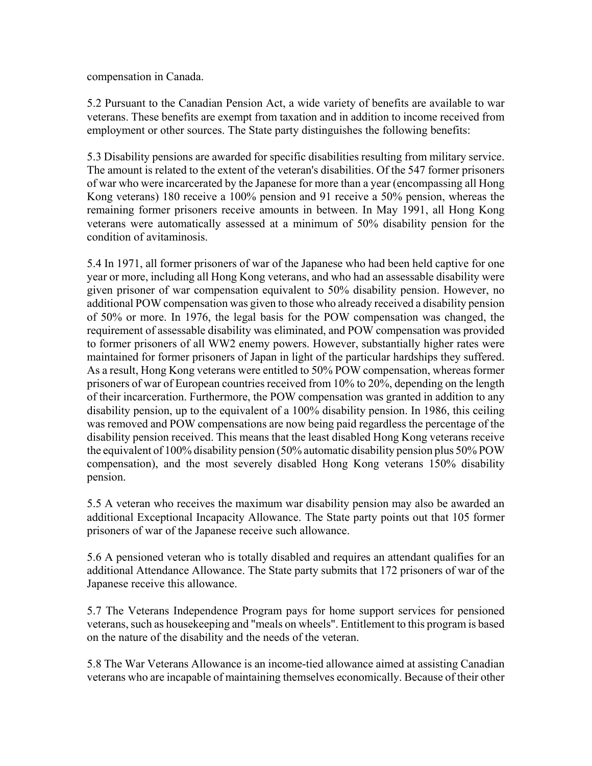compensation in Canada.

5.2 Pursuant to the Canadian Pension Act, a wide variety of benefits are available to war veterans. These benefits are exempt from taxation and in addition to income received from employment or other sources. The State party distinguishes the following benefits:

5.3 Disability pensions are awarded for specific disabilities resulting from military service. The amount is related to the extent of the veteran's disabilities. Of the 547 former prisoners of war who were incarcerated by the Japanese for more than a year (encompassing all Hong Kong veterans) 180 receive a 100% pension and 91 receive a 50% pension, whereas the remaining former prisoners receive amounts in between. In May 1991, all Hong Kong veterans were automatically assessed at a minimum of 50% disability pension for the condition of avitaminosis.

5.4 In 1971, all former prisoners of war of the Japanese who had been held captive for one year or more, including all Hong Kong veterans, and who had an assessable disability were given prisoner of war compensation equivalent to 50% disability pension. However, no additional POW compensation was given to those who already received a disability pension of 50% or more. In 1976, the legal basis for the POW compensation was changed, the requirement of assessable disability was eliminated, and POW compensation was provided to former prisoners of all WW2 enemy powers. However, substantially higher rates were maintained for former prisoners of Japan in light of the particular hardships they suffered. As a result, Hong Kong veterans were entitled to 50% POW compensation, whereas former prisoners of war of European countries received from 10% to 20%, depending on the length of their incarceration. Furthermore, the POW compensation was granted in addition to any disability pension, up to the equivalent of a 100% disability pension. In 1986, this ceiling was removed and POW compensations are now being paid regardless the percentage of the disability pension received. This means that the least disabled Hong Kong veterans receive the equivalent of 100% disability pension (50% automatic disability pension plus 50% POW compensation), and the most severely disabled Hong Kong veterans 150% disability pension.

5.5 A veteran who receives the maximum war disability pension may also be awarded an additional Exceptional Incapacity Allowance. The State party points out that 105 former prisoners of war of the Japanese receive such allowance.

5.6 A pensioned veteran who is totally disabled and requires an attendant qualifies for an additional Attendance Allowance. The State party submits that 172 prisoners of war of the Japanese receive this allowance.

5.7 The Veterans Independence Program pays for home support services for pensioned veterans, such as housekeeping and "meals on wheels". Entitlement to this program is based on the nature of the disability and the needs of the veteran.

5.8 The War Veterans Allowance is an income-tied allowance aimed at assisting Canadian veterans who are incapable of maintaining themselves economically. Because of their other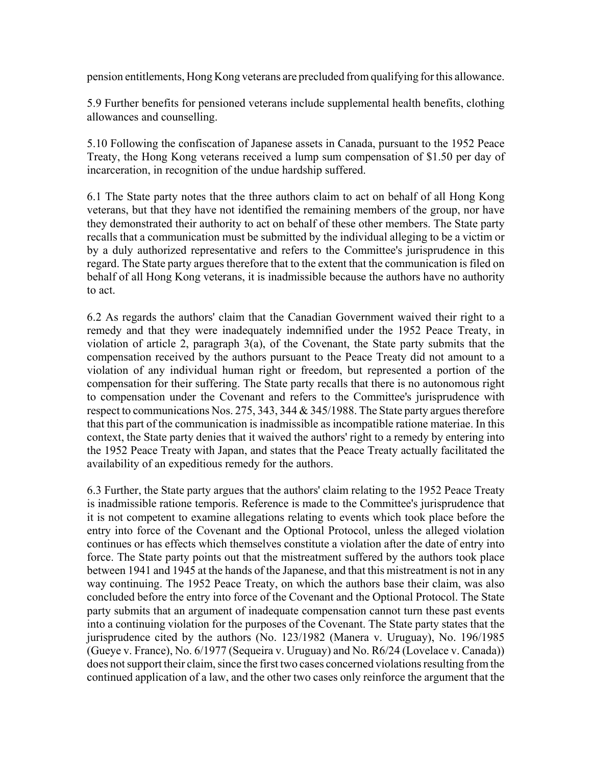pension entitlements, Hong Kong veterans are precluded from qualifying for this allowance.

5.9 Further benefits for pensioned veterans include supplemental health benefits, clothing allowances and counselling.

5.10 Following the confiscation of Japanese assets in Canada, pursuant to the 1952 Peace Treaty, the Hong Kong veterans received a lump sum compensation of \$1.50 per day of incarceration, in recognition of the undue hardship suffered.

6.1 The State party notes that the three authors claim to act on behalf of all Hong Kong veterans, but that they have not identified the remaining members of the group, nor have they demonstrated their authority to act on behalf of these other members. The State party recalls that a communication must be submitted by the individual alleging to be a victim or by a duly authorized representative and refers to the Committee's jurisprudence in this regard. The State party argues therefore that to the extent that the communication is filed on behalf of all Hong Kong veterans, it is inadmissible because the authors have no authority to act.

6.2 As regards the authors' claim that the Canadian Government waived their right to a remedy and that they were inadequately indemnified under the 1952 Peace Treaty, in violation of article 2, paragraph 3(a), of the Covenant, the State party submits that the compensation received by the authors pursuant to the Peace Treaty did not amount to a violation of any individual human right or freedom, but represented a portion of the compensation for their suffering. The State party recalls that there is no autonomous right to compensation under the Covenant and refers to the Committee's jurisprudence with respect to communications Nos. 275, 343, 344 & 345/1988. The State party argues therefore that this part of the communication is inadmissible as incompatible ratione materiae. In this context, the State party denies that it waived the authors' right to a remedy by entering into the 1952 Peace Treaty with Japan, and states that the Peace Treaty actually facilitated the availability of an expeditious remedy for the authors.

6.3 Further, the State party argues that the authors' claim relating to the 1952 Peace Treaty is inadmissible ratione temporis. Reference is made to the Committee's jurisprudence that it is not competent to examine allegations relating to events which took place before the entry into force of the Covenant and the Optional Protocol, unless the alleged violation continues or has effects which themselves constitute a violation after the date of entry into force. The State party points out that the mistreatment suffered by the authors took place between 1941 and 1945 at the hands of the Japanese, and that this mistreatment is not in any way continuing. The 1952 Peace Treaty, on which the authors base their claim, was also concluded before the entry into force of the Covenant and the Optional Protocol. The State party submits that an argument of inadequate compensation cannot turn these past events into a continuing violation for the purposes of the Covenant. The State party states that the jurisprudence cited by the authors (No. 123/1982 (Manera v. Uruguay), No. 196/1985 (Gueye v. France), No. 6/1977 (Sequeira v. Uruguay) and No. R6/24 (Lovelace v. Canada)) does not support their claim, since the first two cases concerned violations resulting from the continued application of a law, and the other two cases only reinforce the argument that the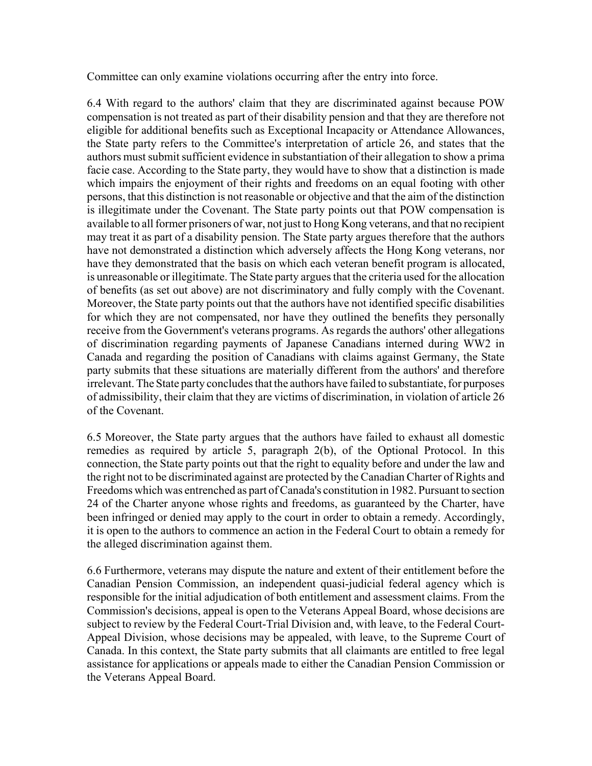Committee can only examine violations occurring after the entry into force.

6.4 With regard to the authors' claim that they are discriminated against because POW compensation is not treated as part of their disability pension and that they are therefore not eligible for additional benefits such as Exceptional Incapacity or Attendance Allowances, the State party refers to the Committee's interpretation of article 26, and states that the authors must submit sufficient evidence in substantiation of their allegation to show a prima facie case. According to the State party, they would have to show that a distinction is made which impairs the enjoyment of their rights and freedoms on an equal footing with other persons, that this distinction is not reasonable or objective and that the aim of the distinction is illegitimate under the Covenant. The State party points out that POW compensation is available to all former prisoners of war, not just to Hong Kong veterans, and that no recipient may treat it as part of a disability pension. The State party argues therefore that the authors have not demonstrated a distinction which adversely affects the Hong Kong veterans, nor have they demonstrated that the basis on which each veteran benefit program is allocated, is unreasonable or illegitimate. The State party argues that the criteria used for the allocation of benefits (as set out above) are not discriminatory and fully comply with the Covenant. Moreover, the State party points out that the authors have not identified specific disabilities for which they are not compensated, nor have they outlined the benefits they personally receive from the Government's veterans programs. As regards the authors' other allegations of discrimination regarding payments of Japanese Canadians interned during WW2 in Canada and regarding the position of Canadians with claims against Germany, the State party submits that these situations are materially different from the authors' and therefore irrelevant. The State party concludes that the authors have failed to substantiate, for purposes of admissibility, their claim that they are victims of discrimination, in violation of article 26 of the Covenant.

6.5 Moreover, the State party argues that the authors have failed to exhaust all domestic remedies as required by article 5, paragraph 2(b), of the Optional Protocol. In this connection, the State party points out that the right to equality before and under the law and the right not to be discriminated against are protected by the Canadian Charter of Rights and Freedoms which was entrenched as part of Canada's constitution in 1982. Pursuant to section 24 of the Charter anyone whose rights and freedoms, as guaranteed by the Charter, have been infringed or denied may apply to the court in order to obtain a remedy. Accordingly, it is open to the authors to commence an action in the Federal Court to obtain a remedy for the alleged discrimination against them.

6.6 Furthermore, veterans may dispute the nature and extent of their entitlement before the Canadian Pension Commission, an independent quasi-judicial federal agency which is responsible for the initial adjudication of both entitlement and assessment claims. From the Commission's decisions, appeal is open to the Veterans Appeal Board, whose decisions are subject to review by the Federal Court-Trial Division and, with leave, to the Federal Court-Appeal Division, whose decisions may be appealed, with leave, to the Supreme Court of Canada. In this context, the State party submits that all claimants are entitled to free legal assistance for applications or appeals made to either the Canadian Pension Commission or the Veterans Appeal Board.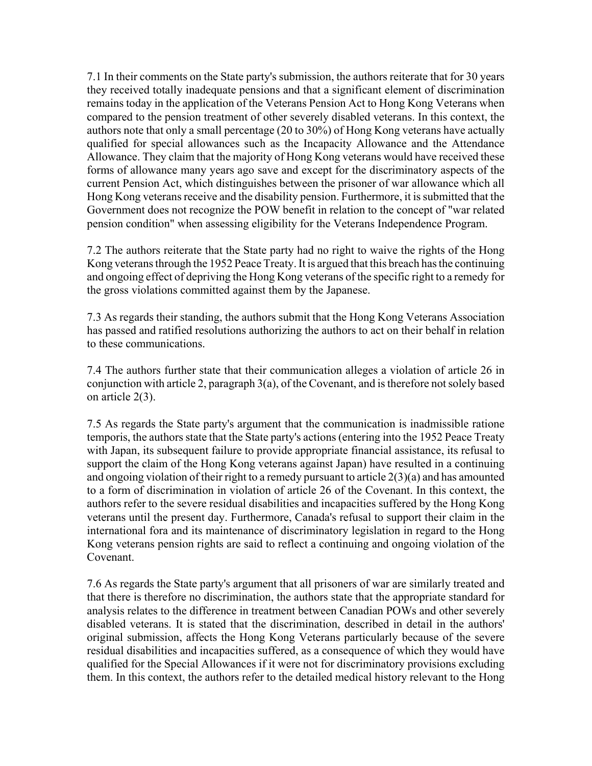7.1 In their comments on the State party's submission, the authors reiterate that for 30 years they received totally inadequate pensions and that a significant element of discrimination remains today in the application of the Veterans Pension Act to Hong Kong Veterans when compared to the pension treatment of other severely disabled veterans. In this context, the authors note that only a small percentage (20 to 30%) of Hong Kong veterans have actually qualified for special allowances such as the Incapacity Allowance and the Attendance Allowance. They claim that the majority of Hong Kong veterans would have received these forms of allowance many years ago save and except for the discriminatory aspects of the current Pension Act, which distinguishes between the prisoner of war allowance which all Hong Kong veterans receive and the disability pension. Furthermore, it is submitted that the Government does not recognize the POW benefit in relation to the concept of "war related pension condition" when assessing eligibility for the Veterans Independence Program.

7.2 The authors reiterate that the State party had no right to waive the rights of the Hong Kong veterans through the 1952 Peace Treaty. It is argued that this breach has the continuing and ongoing effect of depriving the Hong Kong veterans of the specific right to a remedy for the gross violations committed against them by the Japanese.

7.3 As regards their standing, the authors submit that the Hong Kong Veterans Association has passed and ratified resolutions authorizing the authors to act on their behalf in relation to these communications.

7.4 The authors further state that their communication alleges a violation of article 26 in conjunction with article 2, paragraph 3(a), of the Covenant, and is therefore not solely based on article 2(3).

7.5 As regards the State party's argument that the communication is inadmissible ratione temporis, the authors state that the State party's actions (entering into the 1952 Peace Treaty with Japan, its subsequent failure to provide appropriate financial assistance, its refusal to support the claim of the Hong Kong veterans against Japan) have resulted in a continuing and ongoing violation of their right to a remedy pursuant to article 2(3)(a) and has amounted to a form of discrimination in violation of article 26 of the Covenant. In this context, the authors refer to the severe residual disabilities and incapacities suffered by the Hong Kong veterans until the present day. Furthermore, Canada's refusal to support their claim in the international fora and its maintenance of discriminatory legislation in regard to the Hong Kong veterans pension rights are said to reflect a continuing and ongoing violation of the Covenant.

7.6 As regards the State party's argument that all prisoners of war are similarly treated and that there is therefore no discrimination, the authors state that the appropriate standard for analysis relates to the difference in treatment between Canadian POWs and other severely disabled veterans. It is stated that the discrimination, described in detail in the authors' original submission, affects the Hong Kong Veterans particularly because of the severe residual disabilities and incapacities suffered, as a consequence of which they would have qualified for the Special Allowances if it were not for discriminatory provisions excluding them. In this context, the authors refer to the detailed medical history relevant to the Hong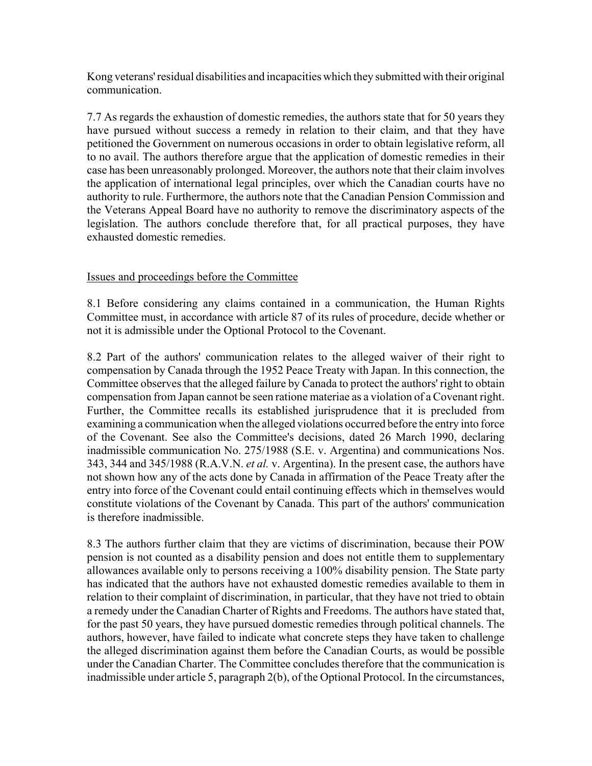Kong veterans' residual disabilities and incapacities which they submitted with their original communication.

7.7 As regards the exhaustion of domestic remedies, the authors state that for 50 years they have pursued without success a remedy in relation to their claim, and that they have petitioned the Government on numerous occasions in order to obtain legislative reform, all to no avail. The authors therefore argue that the application of domestic remedies in their case has been unreasonably prolonged. Moreover, the authors note that their claim involves the application of international legal principles, over which the Canadian courts have no authority to rule. Furthermore, the authors note that the Canadian Pension Commission and the Veterans Appeal Board have no authority to remove the discriminatory aspects of the legislation. The authors conclude therefore that, for all practical purposes, they have exhausted domestic remedies.

#### Issues and proceedings before the Committee

8.1 Before considering any claims contained in a communication, the Human Rights Committee must, in accordance with article 87 of its rules of procedure, decide whether or not it is admissible under the Optional Protocol to the Covenant.

8.2 Part of the authors' communication relates to the alleged waiver of their right to compensation by Canada through the 1952 Peace Treaty with Japan. In this connection, the Committee observes that the alleged failure by Canada to protect the authors' right to obtain compensation from Japan cannot be seen ratione materiae as a violation of a Covenant right. Further, the Committee recalls its established jurisprudence that it is precluded from examining a communication when the alleged violations occurred before the entry into force of the Covenant. See also the Committee's decisions, dated 26 March 1990, declaring inadmissible communication No. 275/1988 (S.E. v. Argentina) and communications Nos. 343, 344 and 345/1988 (R.A.V.N. *et al.* v. Argentina). In the present case, the authors have not shown how any of the acts done by Canada in affirmation of the Peace Treaty after the entry into force of the Covenant could entail continuing effects which in themselves would constitute violations of the Covenant by Canada. This part of the authors' communication is therefore inadmissible.

8.3 The authors further claim that they are victims of discrimination, because their POW pension is not counted as a disability pension and does not entitle them to supplementary allowances available only to persons receiving a 100% disability pension. The State party has indicated that the authors have not exhausted domestic remedies available to them in relation to their complaint of discrimination, in particular, that they have not tried to obtain a remedy under the Canadian Charter of Rights and Freedoms. The authors have stated that, for the past 50 years, they have pursued domestic remedies through political channels. The authors, however, have failed to indicate what concrete steps they have taken to challenge the alleged discrimination against them before the Canadian Courts, as would be possible under the Canadian Charter. The Committee concludes therefore that the communication is inadmissible under article 5, paragraph 2(b), of the Optional Protocol. In the circumstances,